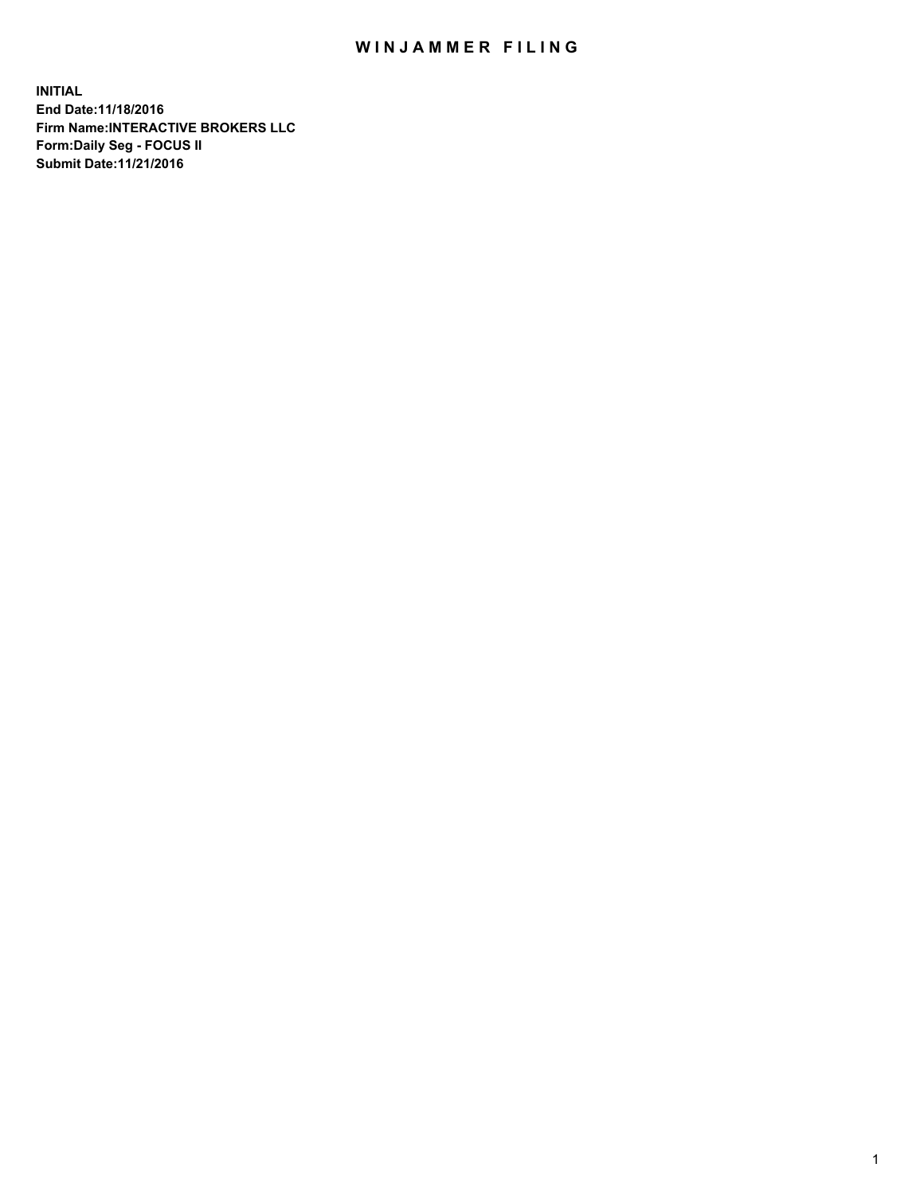## WIN JAMMER FILING

**INITIAL End Date:11/18/2016 Firm Name:INTERACTIVE BROKERS LLC Form:Daily Seg - FOCUS II Submit Date:11/21/2016**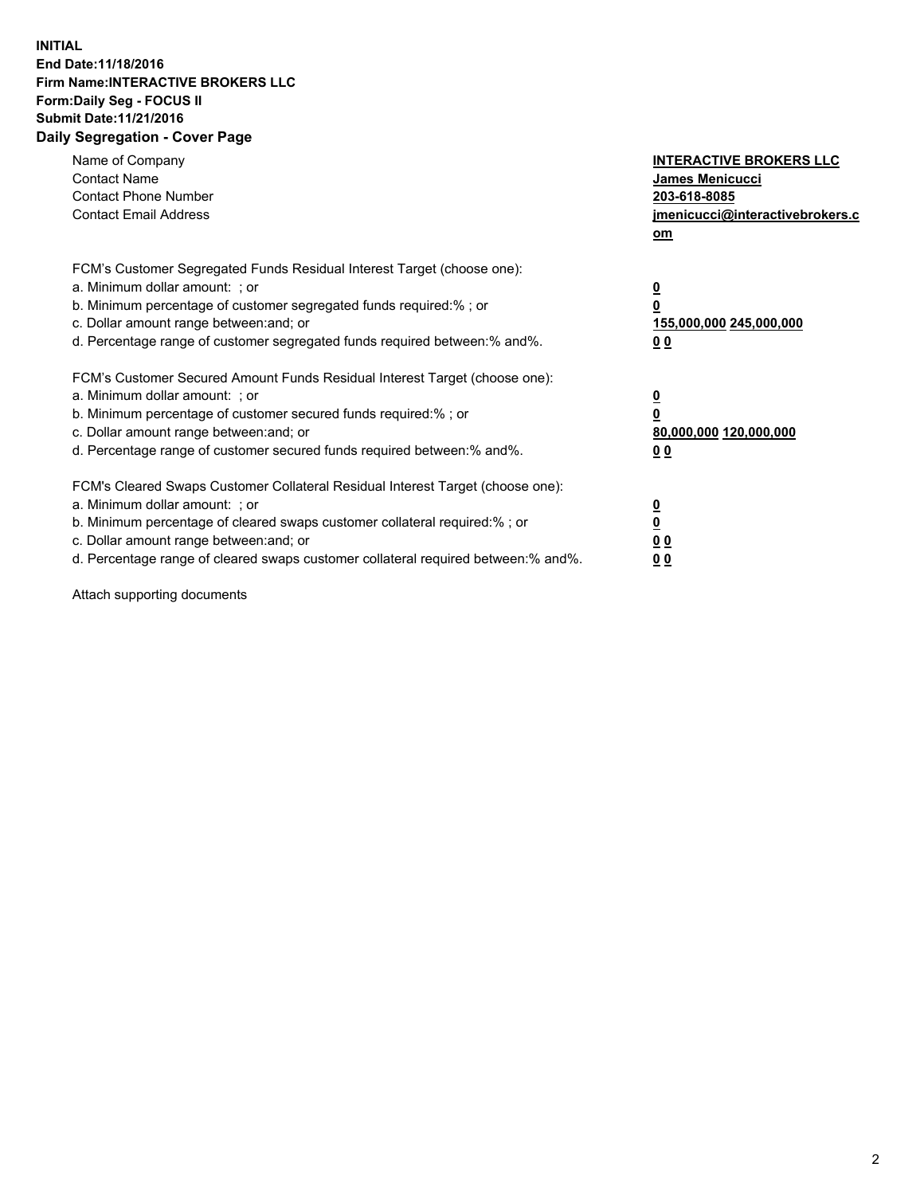## **INITIAL End Date:11/18/2016 Firm Name:INTERACTIVE BROKERS LLC Form:Daily Seg - FOCUS II Submit Date:11/21/2016 Daily Segregation - Cover Page**

| Name of Company<br><b>Contact Name</b><br><b>Contact Phone Number</b><br><b>Contact Email Address</b>                                                                                                                                                                                                                          | <b>INTERACTIVE BROKERS LLC</b><br>James Menicucci<br>203-618-8085<br>jmenicucci@interactivebrokers.c<br>om |
|--------------------------------------------------------------------------------------------------------------------------------------------------------------------------------------------------------------------------------------------------------------------------------------------------------------------------------|------------------------------------------------------------------------------------------------------------|
| FCM's Customer Segregated Funds Residual Interest Target (choose one):<br>a. Minimum dollar amount: ; or<br>b. Minimum percentage of customer segregated funds required:%; or<br>c. Dollar amount range between: and; or<br>d. Percentage range of customer segregated funds required between:% and%.                          | $\overline{\mathbf{0}}$<br>0<br>155,000,000 245,000,000<br>0 <sub>0</sub>                                  |
| FCM's Customer Secured Amount Funds Residual Interest Target (choose one):<br>a. Minimum dollar amount: ; or<br>b. Minimum percentage of customer secured funds required:%; or<br>c. Dollar amount range between: and; or<br>d. Percentage range of customer secured funds required between:% and%.                            | $\overline{\mathbf{0}}$<br>$\overline{\mathbf{0}}$<br>80,000,000 120,000,000<br>00                         |
| FCM's Cleared Swaps Customer Collateral Residual Interest Target (choose one):<br>a. Minimum dollar amount: ; or<br>b. Minimum percentage of cleared swaps customer collateral required:% ; or<br>c. Dollar amount range between: and; or<br>d. Percentage range of cleared swaps customer collateral required between:% and%. | $\overline{\mathbf{0}}$<br>$\overline{\mathbf{0}}$<br>0 <sub>0</sub><br><u>00</u>                          |

Attach supporting documents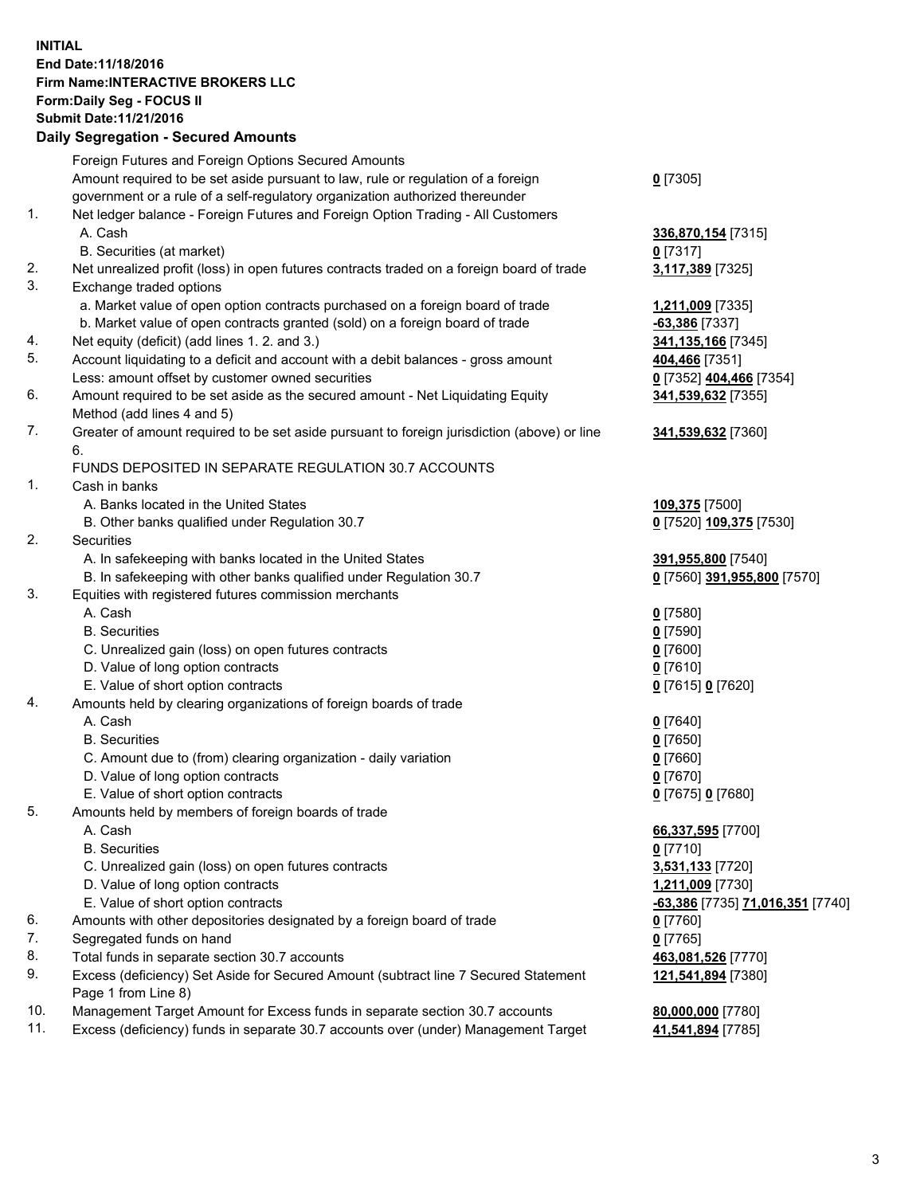## **INITIAL End Date:11/18/2016 Firm Name:INTERACTIVE BROKERS LLC Form:Daily Seg - FOCUS II Submit Date:11/21/2016 Daily Segregation - Secured Amounts**

|     | Daily Segregation - Secured Amounts                                                         |                                  |
|-----|---------------------------------------------------------------------------------------------|----------------------------------|
|     | Foreign Futures and Foreign Options Secured Amounts                                         |                                  |
|     | Amount required to be set aside pursuant to law, rule or regulation of a foreign            | $0$ [7305]                       |
|     | government or a rule of a self-regulatory organization authorized thereunder                |                                  |
| 1.  | Net ledger balance - Foreign Futures and Foreign Option Trading - All Customers             |                                  |
|     | A. Cash                                                                                     | 336,870,154 [7315]               |
|     | B. Securities (at market)                                                                   | $0$ [7317]                       |
| 2.  | Net unrealized profit (loss) in open futures contracts traded on a foreign board of trade   | 3,117,389 [7325]                 |
| 3.  | Exchange traded options                                                                     |                                  |
|     | a. Market value of open option contracts purchased on a foreign board of trade              | 1,211,009 [7335]                 |
|     | b. Market value of open contracts granted (sold) on a foreign board of trade                | $-63,386$ [7337]                 |
| 4.  | Net equity (deficit) (add lines 1. 2. and 3.)                                               | 341, 135, 166 [7345]             |
| 5.  | Account liquidating to a deficit and account with a debit balances - gross amount           | 404,466 [7351]                   |
|     | Less: amount offset by customer owned securities                                            | 0 [7352] 404,466 [7354]          |
| 6.  | Amount required to be set aside as the secured amount - Net Liquidating Equity              | 341,539,632 [7355]               |
|     | Method (add lines 4 and 5)                                                                  |                                  |
| 7.  | Greater of amount required to be set aside pursuant to foreign jurisdiction (above) or line | 341,539,632 [7360]               |
|     | 6.                                                                                          |                                  |
|     | FUNDS DEPOSITED IN SEPARATE REGULATION 30.7 ACCOUNTS                                        |                                  |
| 1.  | Cash in banks                                                                               |                                  |
|     | A. Banks located in the United States                                                       | 109,375 [7500]                   |
|     | B. Other banks qualified under Regulation 30.7                                              | 0 [7520] 109,375 [7530]          |
| 2.  | <b>Securities</b>                                                                           |                                  |
|     | A. In safekeeping with banks located in the United States                                   | 391,955,800 [7540]               |
|     | B. In safekeeping with other banks qualified under Regulation 30.7                          | 0 [7560] 391,955,800 [7570]      |
| 3.  | Equities with registered futures commission merchants                                       |                                  |
|     | A. Cash                                                                                     | $0$ [7580]                       |
|     | <b>B.</b> Securities                                                                        | $0$ [7590]                       |
|     | C. Unrealized gain (loss) on open futures contracts                                         | $0$ [7600]                       |
|     | D. Value of long option contracts                                                           | $0$ [7610]                       |
|     | E. Value of short option contracts                                                          | 0 [7615] 0 [7620]                |
| 4.  | Amounts held by clearing organizations of foreign boards of trade                           |                                  |
|     | A. Cash                                                                                     | $0$ [7640]                       |
|     | <b>B.</b> Securities                                                                        | $0$ [7650]                       |
|     | C. Amount due to (from) clearing organization - daily variation                             | $0$ [7660]                       |
|     | D. Value of long option contracts                                                           | $0$ [7670]                       |
| 5.  | E. Value of short option contracts                                                          | 0 [7675] 0 [7680]                |
|     | Amounts held by members of foreign boards of trade                                          |                                  |
|     | A. Cash<br><b>B.</b> Securities                                                             | 66,337,595 [7700]<br>$0$ [7710]  |
|     | C. Unrealized gain (loss) on open futures contracts                                         | 3,531,133 [7720]                 |
|     | D. Value of long option contracts                                                           | 1,211,009 [7730]                 |
|     | E. Value of short option contracts                                                          | -63,386 [7735] 71,016,351 [7740] |
| 6.  | Amounts with other depositories designated by a foreign board of trade                      | $0$ [7760]                       |
| 7.  | Segregated funds on hand                                                                    | $0$ [7765]                       |
| 8.  | Total funds in separate section 30.7 accounts                                               | 463,081,526 [7770]               |
| 9.  | Excess (deficiency) Set Aside for Secured Amount (subtract line 7 Secured Statement         | 121,541,894 [7380]               |
|     | Page 1 from Line 8)                                                                         |                                  |
| 10. | Management Target Amount for Excess funds in separate section 30.7 accounts                 | 80,000,000 [7780]                |
| 11. | Excess (deficiency) funds in separate 30.7 accounts over (under) Management Target          | 41,541,894 [7785]                |
|     |                                                                                             |                                  |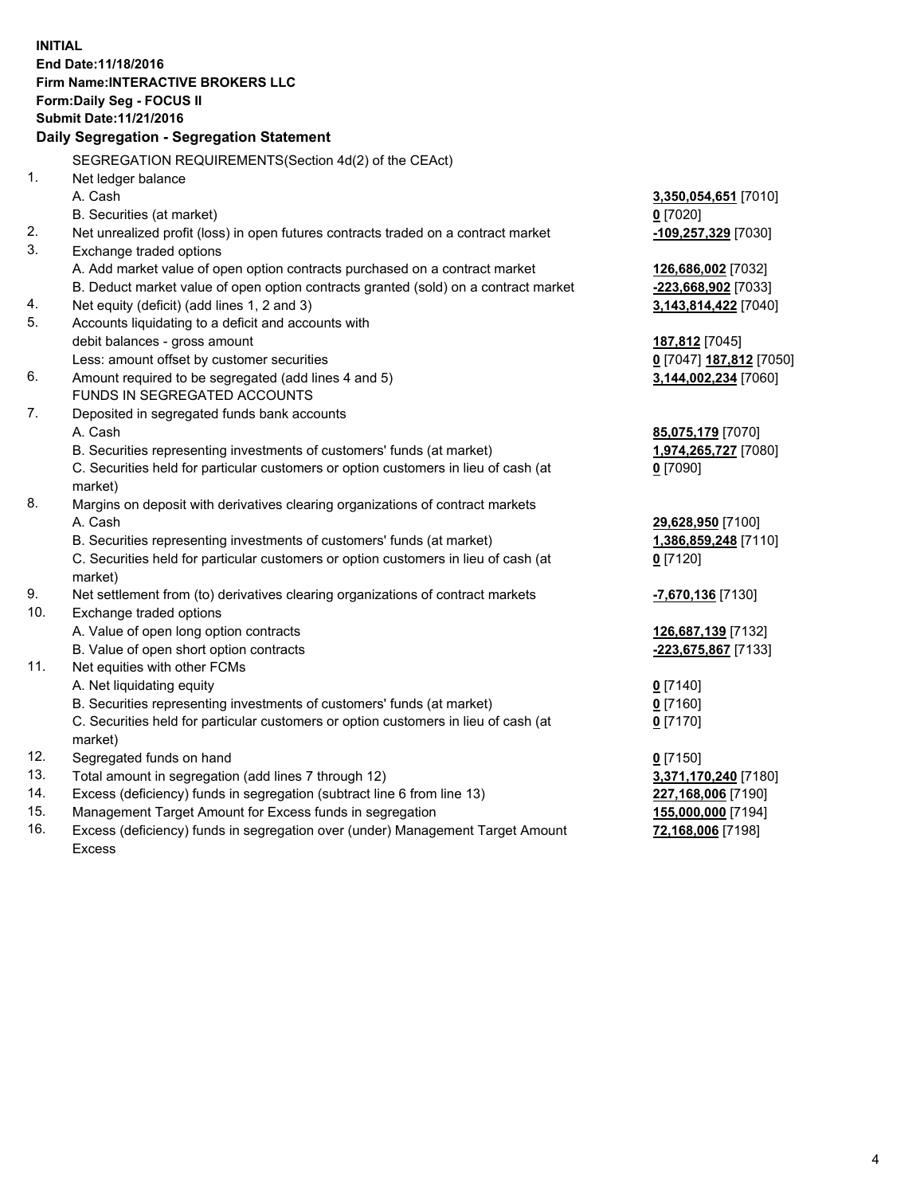**INITIAL End Date:11/18/2016 Firm Name:INTERACTIVE BROKERS LLC Form:Daily Seg - FOCUS II Submit Date:11/21/2016 Daily Segregation - Segregation Statement** SEGREGATION REQUIREMENTS(Section 4d(2) of the CEAct) 1. Net ledger balance A. Cash **3,350,054,651** [7010] B. Securities (at market) **0** [7020] 2. Net unrealized profit (loss) in open futures contracts traded on a contract market **-109,257,329** [7030] 3. Exchange traded options A. Add market value of open option contracts purchased on a contract market **126,686,002** [7032] B. Deduct market value of open option contracts granted (sold) on a contract market **-223,668,902** [7033] 4. Net equity (deficit) (add lines 1, 2 and 3) **3,143,814,422** [7040] 5. Accounts liquidating to a deficit and accounts with debit balances - gross amount **187,812** [7045] Less: amount offset by customer securities **0** [7047] **187,812** [7050] 6. Amount required to be segregated (add lines 4 and 5) **3,144,002,234** [7060] FUNDS IN SEGREGATED ACCOUNTS 7. Deposited in segregated funds bank accounts A. Cash **85,075,179** [7070] B. Securities representing investments of customers' funds (at market) **1,974,265,727** [7080] C. Securities held for particular customers or option customers in lieu of cash (at market) **0** [7090] 8. Margins on deposit with derivatives clearing organizations of contract markets A. Cash **29,628,950** [7100] B. Securities representing investments of customers' funds (at market) **1,386,859,248** [7110] C. Securities held for particular customers or option customers in lieu of cash (at market) **0** [7120] 9. Net settlement from (to) derivatives clearing organizations of contract markets **-7,670,136** [7130] 10. Exchange traded options A. Value of open long option contracts **126,687,139** [7132] B. Value of open short option contracts **-223,675,867** [7133] 11. Net equities with other FCMs A. Net liquidating equity **0** [7140] B. Securities representing investments of customers' funds (at market) **0** [7160] C. Securities held for particular customers or option customers in lieu of cash (at market) **0** [7170] 12. Segregated funds on hand **0** [7150] 13. Total amount in segregation (add lines 7 through 12) **3,371,170,240** [7180] 14. Excess (deficiency) funds in segregation (subtract line 6 from line 13) **227,168,006** [7190] 15. Management Target Amount for Excess funds in segregation **155,000,000** [7194] **72,168,006** [7198]

16. Excess (deficiency) funds in segregation over (under) Management Target Amount Excess